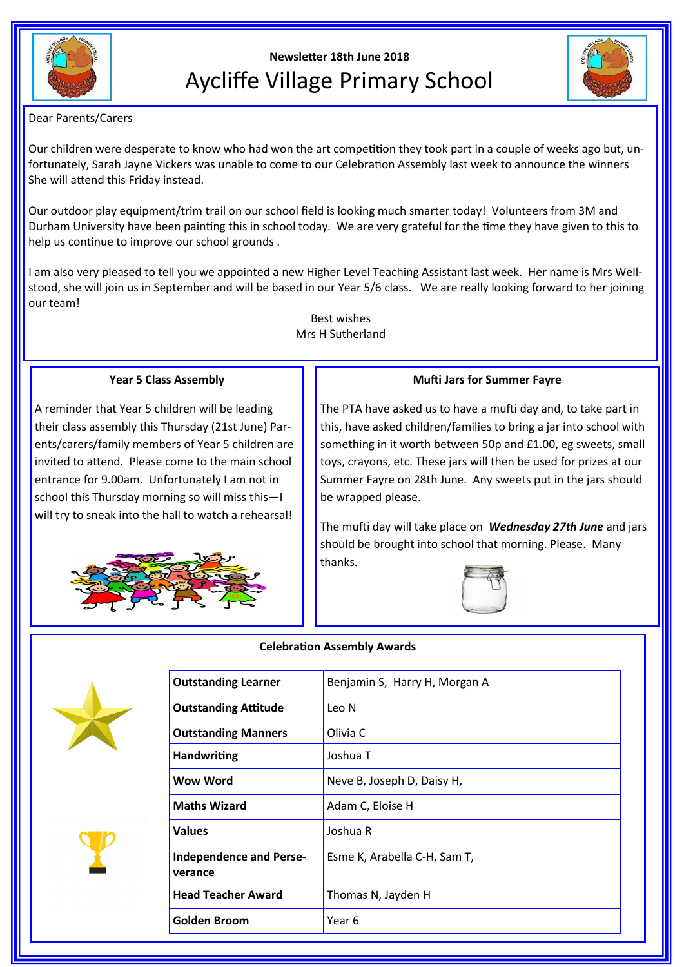

# **Newsletter 18th June 2018** Aycliffe Village Primary School



Dear Parents/Carers

Our children were desperate to know who had won the art competition they took part in a couple of weeks ago but, unfortunately, Sarah Jayne Vickers was unable to come to our Celebration Assembly last week to announce the winners She will attend this Friday instead.

Our outdoor play equipment/trim trail on our school field is looking much smarter today! Volunteers from 3M and Durham University have been painting this in school today. We are very grateful for the time they have given to this to help us continue to improve our school grounds .

I am also very pleased to tell you we appointed a new Higher Level Teaching Assistant last week. Her name is Mrs Wellstood, she will join us in September and will be based in our Year 5/6 class. We are really looking forward to her joining our team!

> Best wishes Mrs H Sutherland

### **Year 5 Class Assembly**

A reminder that Year 5 children will be leading their class assembly this Thursday (21st June) Parents/carers/family members of Year 5 children are invited to attend. Please come to the main school entrance for 9.00am. Unfortunately I am not in school this Thursday morning so will miss this—I will try to sneak into the hall to watch a rehearsal!



## **Mufti Jars for Summer Fayre**

The PTA have asked us to have a mufti day and, to take part in this, have asked children/families to bring a jar into school with something in it worth between 50p and £1.00, eg sweets, small toys, crayons, etc. These jars will then be used for prizes at our Summer Fayre on 28th June. Any sweets put in the jars should be wrapped please.

The mufti day will take place on *Wednesday 27th June* and jars should be brought into school that morning. Please. Many thanks.







| <b>Outstanding Learner</b>                | Benjamin S, Harry H, Morgan A |
|-------------------------------------------|-------------------------------|
| <b>Outstanding Attitude</b>               | Leo N                         |
| <b>Outstanding Manners</b>                | Olivia C                      |
| <b>Handwriting</b>                        | Joshua T                      |
| Wow Word                                  | Neve B, Joseph D, Daisy H,    |
| <b>Maths Wizard</b>                       | Adam C, Eloise H              |
| <b>Values</b>                             | Joshua R                      |
| <b>Independence and Perse-</b><br>verance | Esme K, Arabella C-H, Sam T,  |
| <b>Head Teacher Award</b>                 | Thomas N, Jayden H            |
| Golden Broom                              | Year 6                        |
|                                           |                               |

#### **Celebration Assembly Awards**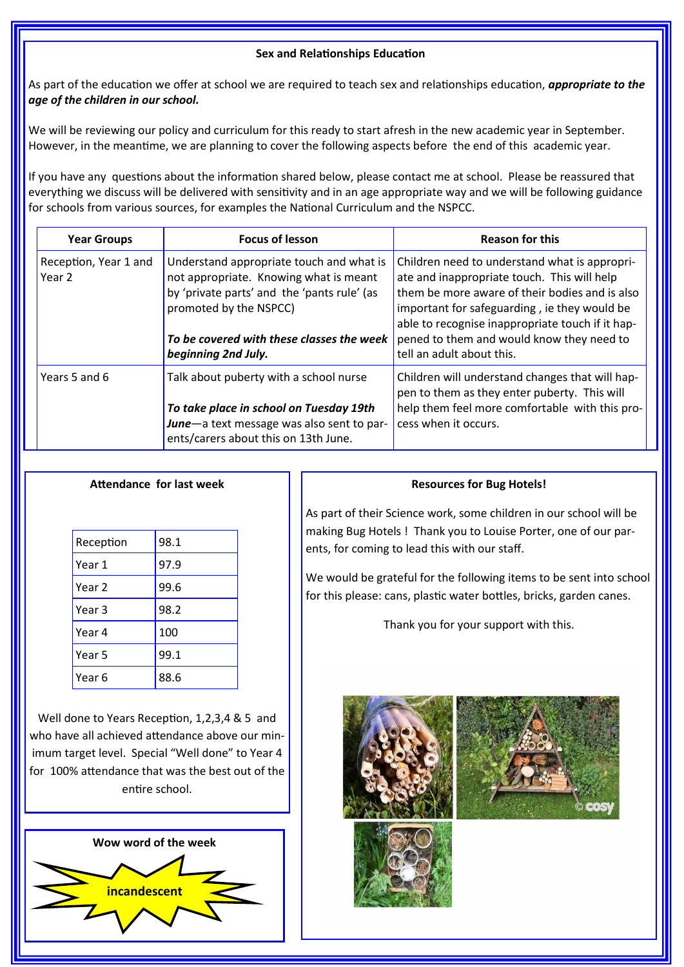# **Sex and Relationships Education**

As part of the education we offer at school we are required to teach sex and relationships education, *appropriate to the age of the children in our school.* 

We will be reviewing our policy and curriculum for this ready to start afresh in the new academic year in September. However, in the meantime, we are planning to cover the following aspects before the end of this academic year.

If you have any questions about the information shared below, please contact me at school. Please be reassured that everything we discuss will be delivered with sensitivity and in an age appropriate way and we will be following guidance for schools from various sources, for examples the National Curriculum and the NSPCC.

| <b>Year Groups</b>              | <b>Focus of lesson</b>                                                                                                                                                                                                          | <b>Reason for this</b>                                                                                                                                                                                                                                                                                                       |
|---------------------------------|---------------------------------------------------------------------------------------------------------------------------------------------------------------------------------------------------------------------------------|------------------------------------------------------------------------------------------------------------------------------------------------------------------------------------------------------------------------------------------------------------------------------------------------------------------------------|
| Reception, Year 1 and<br>Year 2 | Understand appropriate touch and what is<br>not appropriate. Knowing what is meant<br>by 'private parts' and the 'pants rule' (as<br>promoted by the NSPCC)<br>To be covered with these classes the week<br>beginning 2nd July. | Children need to understand what is appropri-<br>ate and inappropriate touch. This will help<br>them be more aware of their bodies and is also<br>important for safeguarding, ie they would be<br>able to recognise inappropriate touch if it hap-<br>pened to them and would know they need to<br>tell an adult about this. |
| Years 5 and 6                   | Talk about puberty with a school nurse<br>To take place in school on Tuesday 19th<br>June-a text message was also sent to par-<br>ents/carers about this on 13th June.                                                          | Children will understand changes that will hap-<br>pen to them as they enter puberty. This will<br>help them feel more comfortable with this pro-<br>cess when it occurs.                                                                                                                                                    |

# **Attendance for last week**

| Reception | 98.1 |
|-----------|------|
| Year 1    | 97.9 |
| Year 2    | 99.6 |
| Year 3    | 98.2 |
| Year 4    | 100  |
| Year 5    | 99.1 |
| Year 6    | 88.6 |
|           |      |

Well done to Years Reception, 1,2,3,4 & 5 and who have all achieved attendance above our minimum target level. Special "Well done" to Year 4 for 100% attendance that was the best out of the entire school.



# **Resources for Bug Hotels!**

As part of their Science work, some children in our school will be making Bug Hotels ! Thank you to Louise Porter, one of our parents, for coming to lead this with our staff.

We would be grateful for the following items to be sent into school for this please: cans, plastic water bottles, bricks, garden canes.

Thank you for your support with this.